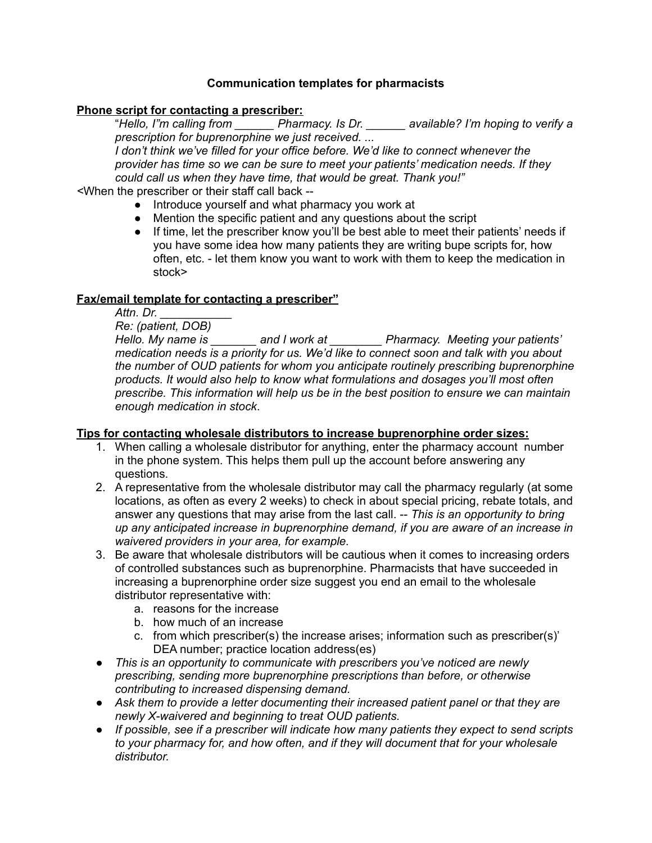## **Communication templates for pharmacists**

## **Phone script for contacting a prescriber:**

"*Hello, I"m calling from \_\_\_\_\_\_ Pharmacy. Is Dr. \_\_\_\_\_\_ available? I'm hoping to verify a prescription for buprenorphine we just received. ...*

*I don't think we've filled for your office before. We'd like to connect whenever the provider has time so we can be sure to meet your patients' medication needs. If they could call us when they have time, that would be great. Thank you!"*

*<*When the prescriber or their staff call back --

- Introduce yourself and what pharmacy you work at
- Mention the specific patient and any questions about the script
- If time, let the prescriber know you'll be best able to meet their patients' needs if you have some idea how many patients they are writing bupe scripts for, how often, etc. - let them know you want to work with them to keep the medication in stock>

## **Fax/email template for contacting a prescriber"**

*Attn. Dr. \_\_\_\_\_\_\_\_\_\_\_*

*Re: (patient, DOB)*

*Hello. My name is \_\_\_\_\_\_\_ and I work at \_\_\_\_\_\_\_\_ Pharmacy. Meeting your patients' medication needs is a priority for us. We'd like to connect soon and talk with you about the number of OUD patients for whom you anticipate routinely prescribing buprenorphine products. It would also help to know what formulations and dosages you'll most often prescribe. This information will help us be in the best position to ensure we can maintain enough medication in stock*.

## **Tips for contacting wholesale distributors to increase buprenorphine order sizes:**

- 1. When calling a wholesale distributor for anything, enter the pharmacy account number in the phone system. This helps them pull up the account before answering any questions.
- 2. A representative from the wholesale distributor may call the pharmacy regularly (at some locations, as often as every 2 weeks) to check in about special pricing, rebate totals, and answer any questions that may arise from the last call. -- *This is an opportunity to bring up any anticipated increase in buprenorphine demand, if you are aware of an increase in waivered providers in your area, for example.*
- 3. Be aware that wholesale distributors will be cautious when it comes to increasing orders of controlled substances such as buprenorphine. Pharmacists that have succeeded in increasing a buprenorphine order size suggest you end an email to the wholesale distributor representative with:
	- a. reasons for the increase
	- b. how much of an increase
	- c. from which prescriber(s) the increase arises; information such as prescriber(s)' DEA number; practice location address(es)
- *● This is an opportunity to communicate with prescribers you've noticed are newly prescribing, sending more buprenorphine prescriptions than before, or otherwise contributing to increased dispensing demand.*
- *● Ask them to provide a letter documenting their increased patient panel or that they are newly X-waivered and beginning to treat OUD patients.*
- *● If possible, see if a prescriber will indicate how many patients they expect to send scripts to your pharmacy for, and how often, and if they will document that for your wholesale distributor.*